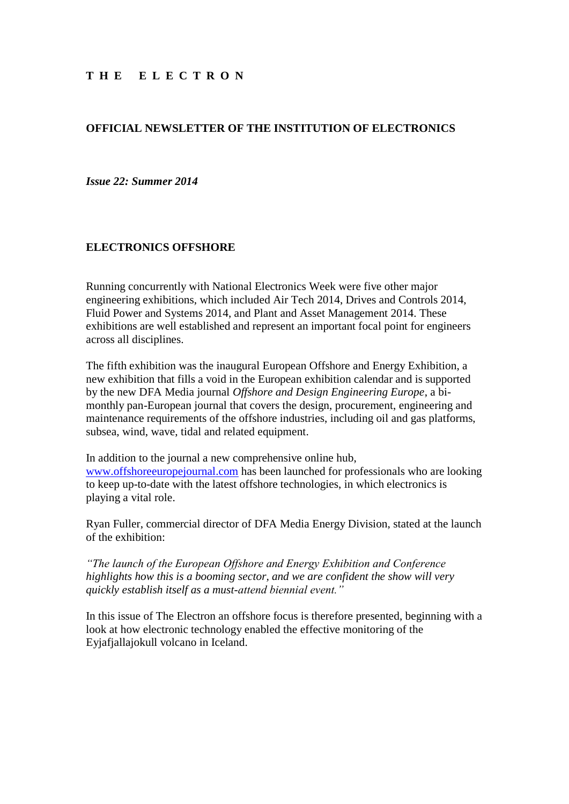## **OFFICIAL NEWSLETTER OF THE INSTITUTION OF ELECTRONICS**

#### *Issue 22: Summer 2014*

#### **ELECTRONICS OFFSHORE**

Running concurrently with National Electronics Week were five other major engineering exhibitions, which included Air Tech 2014, Drives and Controls 2014, Fluid Power and Systems 2014, and Plant and Asset Management 2014. These exhibitions are well established and represent an important focal point for engineers across all disciplines.

The fifth exhibition was the inaugural European Offshore and Energy Exhibition, a new exhibition that fills a void in the European exhibition calendar and is supported by the new DFA Media journal *Offshore and Design Engineering Europe*, a bimonthly pan-European journal that covers the design, procurement, engineering and maintenance requirements of the offshore industries, including oil and gas platforms, subsea, wind, wave, tidal and related equipment.

In addition to the journal a new comprehensive online hub, [www.offshoreeuropejournal.com](http://www.offshoreeuropejournal.com/) has been launched for professionals who are looking to keep up-to-date with the latest offshore technologies, in which electronics is playing a vital role.

Ryan Fuller, commercial director of DFA Media Energy Division, stated at the launch of the exhibition:

*"The launch of the European Offshore and Energy Exhibition and Conference highlights how this is a booming sector, and we are confident the show will very quickly establish itself as a must-attend biennial event."*

In this issue of The Electron an offshore focus is therefore presented, beginning with a look at how electronic technology enabled the effective monitoring of the Eyjafjallajokull volcano in Iceland.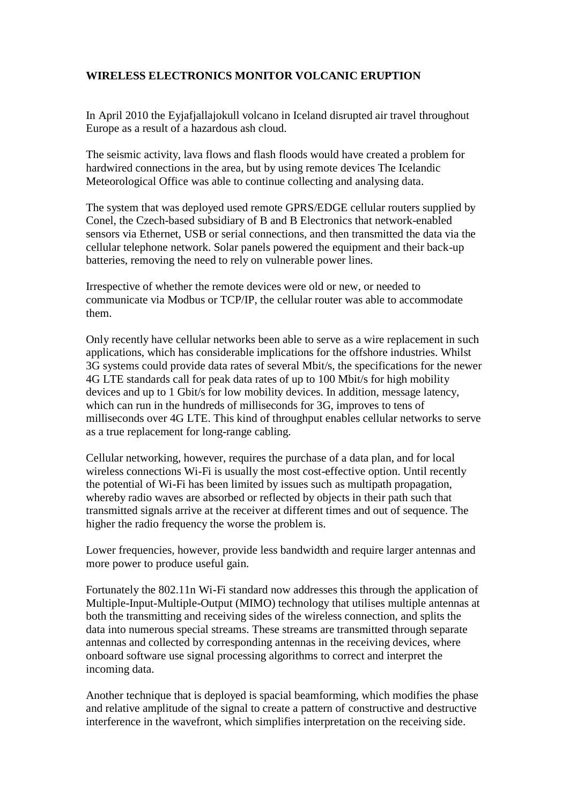# **WIRELESS ELECTRONICS MONITOR VOLCANIC ERUPTION**

In April 2010 the Eyjafjallajokull volcano in Iceland disrupted air travel throughout Europe as a result of a hazardous ash cloud.

The seismic activity, lava flows and flash floods would have created a problem for hardwired connections in the area, but by using remote devices The Icelandic Meteorological Office was able to continue collecting and analysing data.

The system that was deployed used remote GPRS/EDGE cellular routers supplied by Conel, the Czech-based subsidiary of B and B Electronics that network-enabled sensors via Ethernet, USB or serial connections, and then transmitted the data via the cellular telephone network. Solar panels powered the equipment and their back-up batteries, removing the need to rely on vulnerable power lines.

Irrespective of whether the remote devices were old or new, or needed to communicate via Modbus or TCP/IP, the cellular router was able to accommodate them.

Only recently have cellular networks been able to serve as a wire replacement in such applications, which has considerable implications for the offshore industries. Whilst 3G systems could provide data rates of several Mbit/s, the specifications for the newer 4G LTE standards call for peak data rates of up to 100 Mbit/s for high mobility devices and up to 1 Gbit/s for low mobility devices. In addition, message latency, which can run in the hundreds of milliseconds for 3G, improves to tens of milliseconds over 4G LTE. This kind of throughput enables cellular networks to serve as a true replacement for long-range cabling.

Cellular networking, however, requires the purchase of a data plan, and for local wireless connections Wi-Fi is usually the most cost-effective option. Until recently the potential of Wi-Fi has been limited by issues such as multipath propagation, whereby radio waves are absorbed or reflected by objects in their path such that transmitted signals arrive at the receiver at different times and out of sequence. The higher the radio frequency the worse the problem is.

Lower frequencies, however, provide less bandwidth and require larger antennas and more power to produce useful gain.

Fortunately the 802.11n Wi-Fi standard now addresses this through the application of Multiple-Input-Multiple-Output (MIMO) technology that utilises multiple antennas at both the transmitting and receiving sides of the wireless connection, and splits the data into numerous special streams. These streams are transmitted through separate antennas and collected by corresponding antennas in the receiving devices, where onboard software use signal processing algorithms to correct and interpret the incoming data.

Another technique that is deployed is spacial beamforming, which modifies the phase and relative amplitude of the signal to create a pattern of constructive and destructive interference in the wavefront, which simplifies interpretation on the receiving side.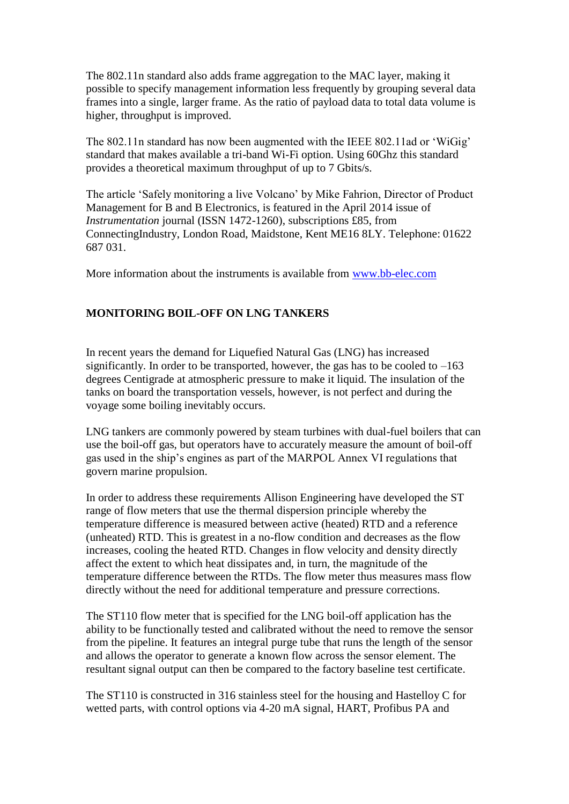The 802.11n standard also adds frame aggregation to the MAC layer, making it possible to specify management information less frequently by grouping several data frames into a single, larger frame. As the ratio of payload data to total data volume is higher, throughput is improved.

The 802.11n standard has now been augmented with the IEEE 802.11ad or 'WiGig' standard that makes available a tri-band Wi-Fi option. Using 60Ghz this standard provides a theoretical maximum throughput of up to 7 Gbits/s.

The article 'Safely monitoring a live Volcano' by Mike Fahrion, Director of Product Management for B and B Electronics, is featured in the April 2014 issue of *Instrumentation* journal (ISSN 1472-1260), subscriptions £85, from ConnectingIndustry, London Road, Maidstone, Kent ME16 8LY. Telephone: 01622 687 031.

More information about the instruments is available from [www.bb-elec.com](http://www.bb-elec.com/)

## **MONITORING BOIL-OFF ON LNG TANKERS**

In recent years the demand for Liquefied Natural Gas (LNG) has increased significantly. In order to be transported, however, the gas has to be cooled to  $-163$ degrees Centigrade at atmospheric pressure to make it liquid. The insulation of the tanks on board the transportation vessels, however, is not perfect and during the voyage some boiling inevitably occurs.

LNG tankers are commonly powered by steam turbines with dual-fuel boilers that can use the boil-off gas, but operators have to accurately measure the amount of boil-off gas used in the ship's engines as part of the MARPOL Annex VI regulations that govern marine propulsion.

In order to address these requirements Allison Engineering have developed the ST range of flow meters that use the thermal dispersion principle whereby the temperature difference is measured between active (heated) RTD and a reference (unheated) RTD. This is greatest in a no-flow condition and decreases as the flow increases, cooling the heated RTD. Changes in flow velocity and density directly affect the extent to which heat dissipates and, in turn, the magnitude of the temperature difference between the RTDs. The flow meter thus measures mass flow directly without the need for additional temperature and pressure corrections.

The ST110 flow meter that is specified for the LNG boil-off application has the ability to be functionally tested and calibrated without the need to remove the sensor from the pipeline. It features an integral purge tube that runs the length of the sensor and allows the operator to generate a known flow across the sensor element. The resultant signal output can then be compared to the factory baseline test certificate.

The ST110 is constructed in 316 stainless steel for the housing and Hastelloy C for wetted parts, with control options via 4-20 mA signal, HART, Profibus PA and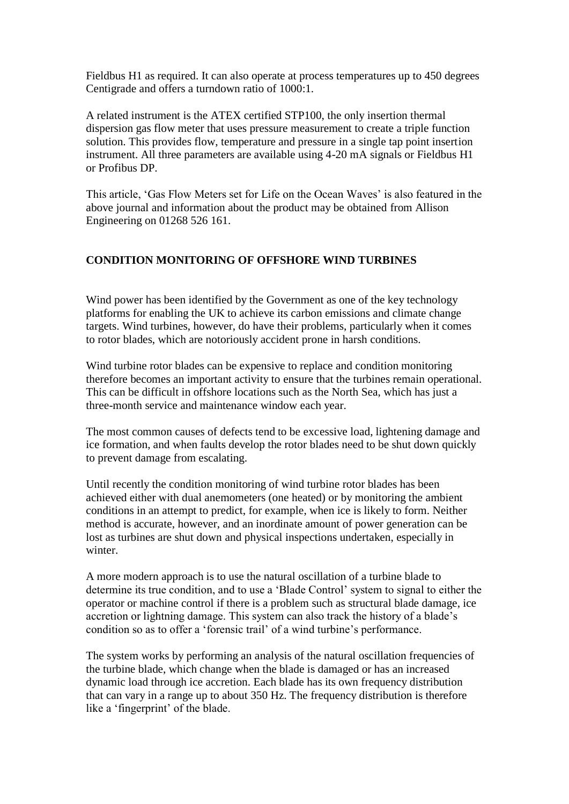Fieldbus H1 as required. It can also operate at process temperatures up to 450 degrees Centigrade and offers a turndown ratio of 1000:1.

A related instrument is the ATEX certified STP100, the only insertion thermal dispersion gas flow meter that uses pressure measurement to create a triple function solution. This provides flow, temperature and pressure in a single tap point insertion instrument. All three parameters are available using 4-20 mA signals or Fieldbus H1 or Profibus DP.

This article, 'Gas Flow Meters set for Life on the Ocean Waves' is also featured in the above journal and information about the product may be obtained from Allison Engineering on 01268 526 161.

## **CONDITION MONITORING OF OFFSHORE WIND TURBINES**

Wind power has been identified by the Government as one of the key technology platforms for enabling the UK to achieve its carbon emissions and climate change targets. Wind turbines, however, do have their problems, particularly when it comes to rotor blades, which are notoriously accident prone in harsh conditions.

Wind turbine rotor blades can be expensive to replace and condition monitoring therefore becomes an important activity to ensure that the turbines remain operational. This can be difficult in offshore locations such as the North Sea, which has just a three-month service and maintenance window each year.

The most common causes of defects tend to be excessive load, lightening damage and ice formation, and when faults develop the rotor blades need to be shut down quickly to prevent damage from escalating.

Until recently the condition monitoring of wind turbine rotor blades has been achieved either with dual anemometers (one heated) or by monitoring the ambient conditions in an attempt to predict, for example, when ice is likely to form. Neither method is accurate, however, and an inordinate amount of power generation can be lost as turbines are shut down and physical inspections undertaken, especially in winter

A more modern approach is to use the natural oscillation of a turbine blade to determine its true condition, and to use a 'Blade Control' system to signal to either the operator or machine control if there is a problem such as structural blade damage, ice accretion or lightning damage. This system can also track the history of a blade's condition so as to offer a 'forensic trail' of a wind turbine's performance.

The system works by performing an analysis of the natural oscillation frequencies of the turbine blade, which change when the blade is damaged or has an increased dynamic load through ice accretion. Each blade has its own frequency distribution that can vary in a range up to about 350 Hz. The frequency distribution is therefore like a 'fingerprint' of the blade.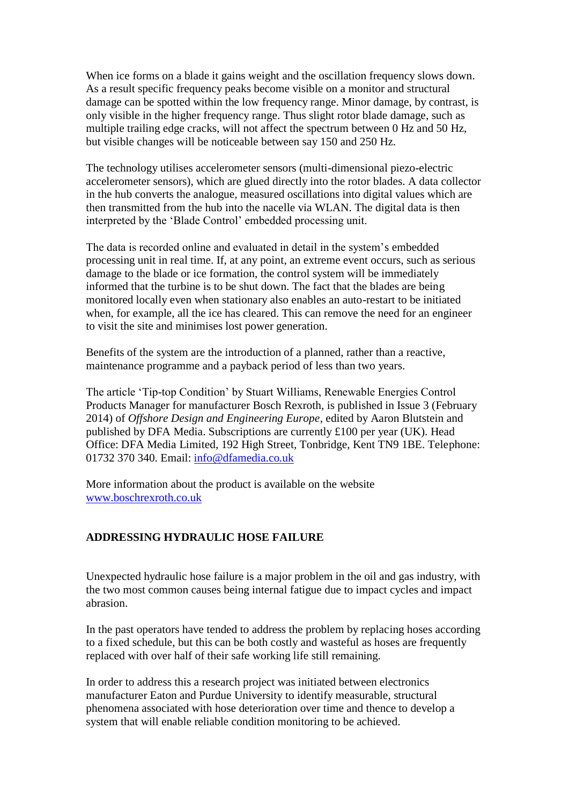When ice forms on a blade it gains weight and the oscillation frequency slows down. As a result specific frequency peaks become visible on a monitor and structural damage can be spotted within the low frequency range. Minor damage, by contrast, is only visible in the higher frequency range. Thus slight rotor blade damage, such as multiple trailing edge cracks, will not affect the spectrum between 0 Hz and 50 Hz, but visible changes will be noticeable between say 150 and 250 Hz.

The technology utilises accelerometer sensors (multi-dimensional piezo-electric accelerometer sensors), which are glued directly into the rotor blades. A data collector in the hub converts the analogue, measured oscillations into digital values which are then transmitted from the hub into the nacelle via WLAN. The digital data is then interpreted by the 'Blade Control' embedded processing unit.

The data is recorded online and evaluated in detail in the system's embedded processing unit in real time. If, at any point, an extreme event occurs, such as serious damage to the blade or ice formation, the control system will be immediately informed that the turbine is to be shut down. The fact that the blades are being monitored locally even when stationary also enables an auto-restart to be initiated when, for example, all the ice has cleared. This can remove the need for an engineer to visit the site and minimises lost power generation.

Benefits of the system are the introduction of a planned, rather than a reactive, maintenance programme and a payback period of less than two years.

The article 'Tip-top Condition' by Stuart Williams, Renewable Energies Control Products Manager for manufacturer Bosch Rexroth, is published in Issue 3 (February 2014) of *Offshore Design and Engineering Europe*, edited by Aaron Blutstein and published by DFA Media. Subscriptions are currently £100 per year (UK). Head Office: DFA Media Limited, 192 High Street, Tonbridge, Kent TN9 1BE. Telephone: 01732 370 340. Email: [info@dfamedia.co.uk](mailto:info@dfamedia.co.uk)

More information about the product is available on the website [www.boschrexroth.co.uk](http://www.boschrexroth.co.uk/)

## **ADDRESSING HYDRAULIC HOSE FAILURE**

Unexpected hydraulic hose failure is a major problem in the oil and gas industry, with the two most common causes being internal fatigue due to impact cycles and impact abrasion.

In the past operators have tended to address the problem by replacing hoses according to a fixed schedule, but this can be both costly and wasteful as hoses are frequently replaced with over half of their safe working life still remaining.

In order to address this a research project was initiated between electronics manufacturer Eaton and Purdue University to identify measurable, structural phenomena associated with hose deterioration over time and thence to develop a system that will enable reliable condition monitoring to be achieved.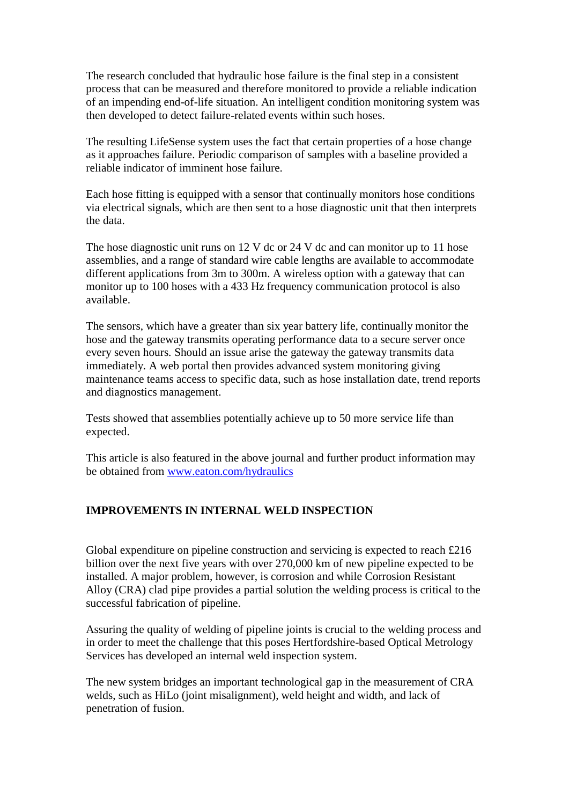The research concluded that hydraulic hose failure is the final step in a consistent process that can be measured and therefore monitored to provide a reliable indication of an impending end-of-life situation. An intelligent condition monitoring system was then developed to detect failure-related events within such hoses.

The resulting LifeSense system uses the fact that certain properties of a hose change as it approaches failure. Periodic comparison of samples with a baseline provided a reliable indicator of imminent hose failure.

Each hose fitting is equipped with a sensor that continually monitors hose conditions via electrical signals, which are then sent to a hose diagnostic unit that then interprets the data.

The hose diagnostic unit runs on 12 V dc or 24 V dc and can monitor up to 11 hose assemblies, and a range of standard wire cable lengths are available to accommodate different applications from 3m to 300m. A wireless option with a gateway that can monitor up to 100 hoses with a 433 Hz frequency communication protocol is also available.

The sensors, which have a greater than six year battery life, continually monitor the hose and the gateway transmits operating performance data to a secure server once every seven hours. Should an issue arise the gateway the gateway transmits data immediately. A web portal then provides advanced system monitoring giving maintenance teams access to specific data, such as hose installation date, trend reports and diagnostics management.

Tests showed that assemblies potentially achieve up to 50 more service life than expected.

This article is also featured in the above journal and further product information may be obtained from [www.eaton.com/hydraulics](http://www.eaton.com/hydraulics)

## **IMPROVEMENTS IN INTERNAL WELD INSPECTION**

Global expenditure on pipeline construction and servicing is expected to reach £216 billion over the next five years with over 270,000 km of new pipeline expected to be installed. A major problem, however, is corrosion and while Corrosion Resistant Alloy (CRA) clad pipe provides a partial solution the welding process is critical to the successful fabrication of pipeline.

Assuring the quality of welding of pipeline joints is crucial to the welding process and in order to meet the challenge that this poses Hertfordshire-based Optical Metrology Services has developed an internal weld inspection system.

The new system bridges an important technological gap in the measurement of CRA welds, such as HiLo (joint misalignment), weld height and width, and lack of penetration of fusion.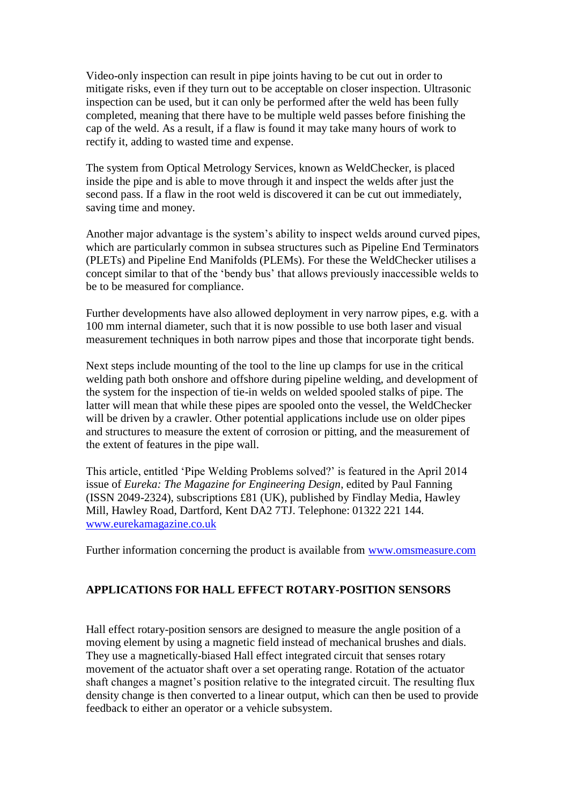Video-only inspection can result in pipe joints having to be cut out in order to mitigate risks, even if they turn out to be acceptable on closer inspection. Ultrasonic inspection can be used, but it can only be performed after the weld has been fully completed, meaning that there have to be multiple weld passes before finishing the cap of the weld. As a result, if a flaw is found it may take many hours of work to rectify it, adding to wasted time and expense.

The system from Optical Metrology Services, known as WeldChecker, is placed inside the pipe and is able to move through it and inspect the welds after just the second pass. If a flaw in the root weld is discovered it can be cut out immediately, saving time and money.

Another major advantage is the system's ability to inspect welds around curved pipes, which are particularly common in subsea structures such as Pipeline End Terminators (PLETs) and Pipeline End Manifolds (PLEMs). For these the WeldChecker utilises a concept similar to that of the 'bendy bus' that allows previously inaccessible welds to be to be measured for compliance.

Further developments have also allowed deployment in very narrow pipes, e.g. with a 100 mm internal diameter, such that it is now possible to use both laser and visual measurement techniques in both narrow pipes and those that incorporate tight bends.

Next steps include mounting of the tool to the line up clamps for use in the critical welding path both onshore and offshore during pipeline welding, and development of the system for the inspection of tie-in welds on welded spooled stalks of pipe. The latter will mean that while these pipes are spooled onto the vessel, the WeldChecker will be driven by a crawler. Other potential applications include use on older pipes and structures to measure the extent of corrosion or pitting, and the measurement of the extent of features in the pipe wall.

This article, entitled 'Pipe Welding Problems solved?' is featured in the April 2014 issue of *Eureka: The Magazine for Engineering Design*, edited by Paul Fanning (ISSN 2049-2324), subscriptions £81 (UK), published by Findlay Media, Hawley Mill, Hawley Road, Dartford, Kent DA2 7TJ. Telephone: 01322 221 144. [www.eurekamagazine.co.uk](http://www.eurekamagazine.co.uk/)

Further information concerning the product is available from [www.omsmeasure.com](http://www.omsmeasure.com/)

## **APPLICATIONS FOR HALL EFFECT ROTARY-POSITION SENSORS**

Hall effect rotary-position sensors are designed to measure the angle position of a moving element by using a magnetic field instead of mechanical brushes and dials. They use a magnetically-biased Hall effect integrated circuit that senses rotary movement of the actuator shaft over a set operating range. Rotation of the actuator shaft changes a magnet's position relative to the integrated circuit. The resulting flux density change is then converted to a linear output, which can then be used to provide feedback to either an operator or a vehicle subsystem.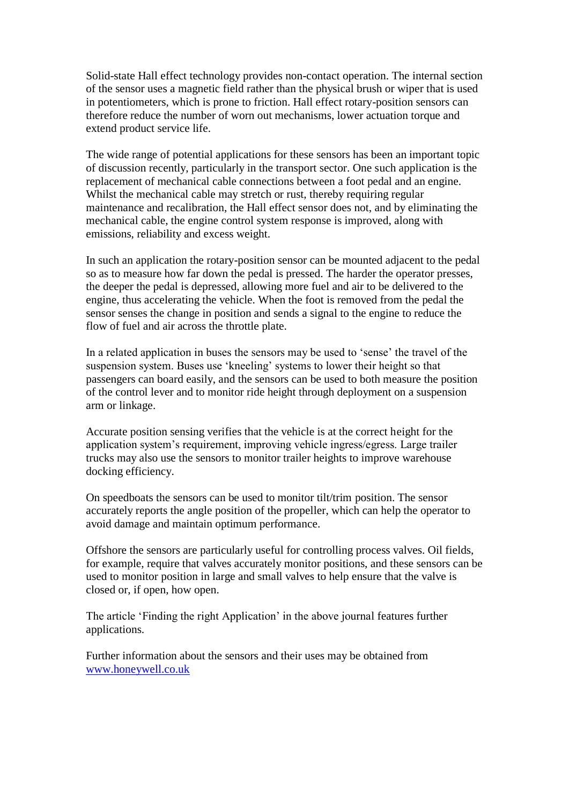Solid-state Hall effect technology provides non-contact operation. The internal section of the sensor uses a magnetic field rather than the physical brush or wiper that is used in potentiometers, which is prone to friction. Hall effect rotary-position sensors can therefore reduce the number of worn out mechanisms, lower actuation torque and extend product service life.

The wide range of potential applications for these sensors has been an important topic of discussion recently, particularly in the transport sector. One such application is the replacement of mechanical cable connections between a foot pedal and an engine. Whilst the mechanical cable may stretch or rust, thereby requiring regular maintenance and recalibration, the Hall effect sensor does not, and by eliminating the mechanical cable, the engine control system response is improved, along with emissions, reliability and excess weight.

In such an application the rotary-position sensor can be mounted adjacent to the pedal so as to measure how far down the pedal is pressed. The harder the operator presses, the deeper the pedal is depressed, allowing more fuel and air to be delivered to the engine, thus accelerating the vehicle. When the foot is removed from the pedal the sensor senses the change in position and sends a signal to the engine to reduce the flow of fuel and air across the throttle plate.

In a related application in buses the sensors may be used to 'sense' the travel of the suspension system. Buses use 'kneeling' systems to lower their height so that passengers can board easily, and the sensors can be used to both measure the position of the control lever and to monitor ride height through deployment on a suspension arm or linkage.

Accurate position sensing verifies that the vehicle is at the correct height for the application system's requirement, improving vehicle ingress/egress. Large trailer trucks may also use the sensors to monitor trailer heights to improve warehouse docking efficiency.

On speedboats the sensors can be used to monitor tilt/trim position. The sensor accurately reports the angle position of the propeller, which can help the operator to avoid damage and maintain optimum performance.

Offshore the sensors are particularly useful for controlling process valves. Oil fields, for example, require that valves accurately monitor positions, and these sensors can be used to monitor position in large and small valves to help ensure that the valve is closed or, if open, how open.

The article 'Finding the right Application' in the above journal features further applications.

Further information about the sensors and their uses may be obtained from [www.honeywell.co.uk](http://www.honeywell.co.uk/)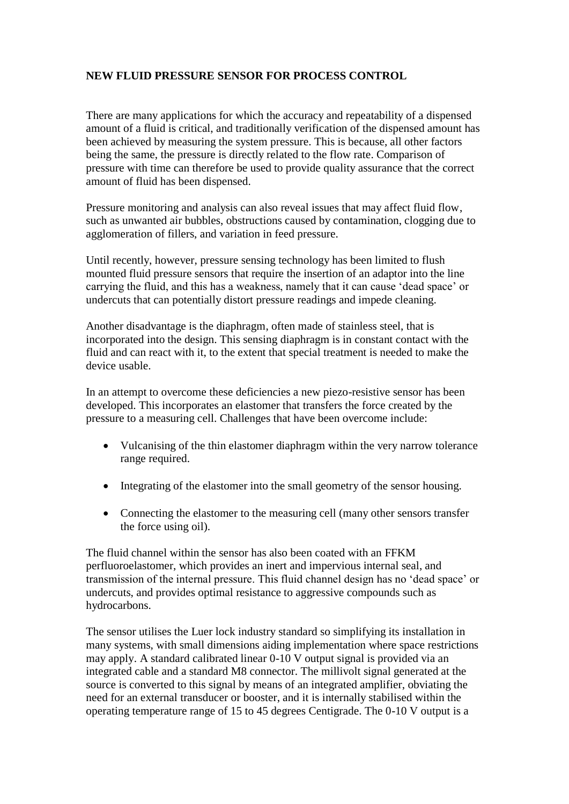# **NEW FLUID PRESSURE SENSOR FOR PROCESS CONTROL**

There are many applications for which the accuracy and repeatability of a dispensed amount of a fluid is critical, and traditionally verification of the dispensed amount has been achieved by measuring the system pressure. This is because, all other factors being the same, the pressure is directly related to the flow rate. Comparison of pressure with time can therefore be used to provide quality assurance that the correct amount of fluid has been dispensed.

Pressure monitoring and analysis can also reveal issues that may affect fluid flow, such as unwanted air bubbles, obstructions caused by contamination, clogging due to agglomeration of fillers, and variation in feed pressure.

Until recently, however, pressure sensing technology has been limited to flush mounted fluid pressure sensors that require the insertion of an adaptor into the line carrying the fluid, and this has a weakness, namely that it can cause 'dead space' or undercuts that can potentially distort pressure readings and impede cleaning.

Another disadvantage is the diaphragm, often made of stainless steel, that is incorporated into the design. This sensing diaphragm is in constant contact with the fluid and can react with it, to the extent that special treatment is needed to make the device usable.

In an attempt to overcome these deficiencies a new piezo-resistive sensor has been developed. This incorporates an elastomer that transfers the force created by the pressure to a measuring cell. Challenges that have been overcome include:

- Vulcanising of the thin elastomer diaphragm within the very narrow tolerance range required.
- Integrating of the elastomer into the small geometry of the sensor housing.
- Connecting the elastomer to the measuring cell (many other sensors transfer the force using oil).

The fluid channel within the sensor has also been coated with an FFKM perfluoroelastomer, which provides an inert and impervious internal seal, and transmission of the internal pressure. This fluid channel design has no 'dead space' or undercuts, and provides optimal resistance to aggressive compounds such as hydrocarbons.

The sensor utilises the Luer lock industry standard so simplifying its installation in many systems, with small dimensions aiding implementation where space restrictions may apply. A standard calibrated linear 0-10 V output signal is provided via an integrated cable and a standard M8 connector. The millivolt signal generated at the source is converted to this signal by means of an integrated amplifier, obviating the need for an external transducer or booster, and it is internally stabilised within the operating temperature range of 15 to 45 degrees Centigrade. The 0-10 V output is a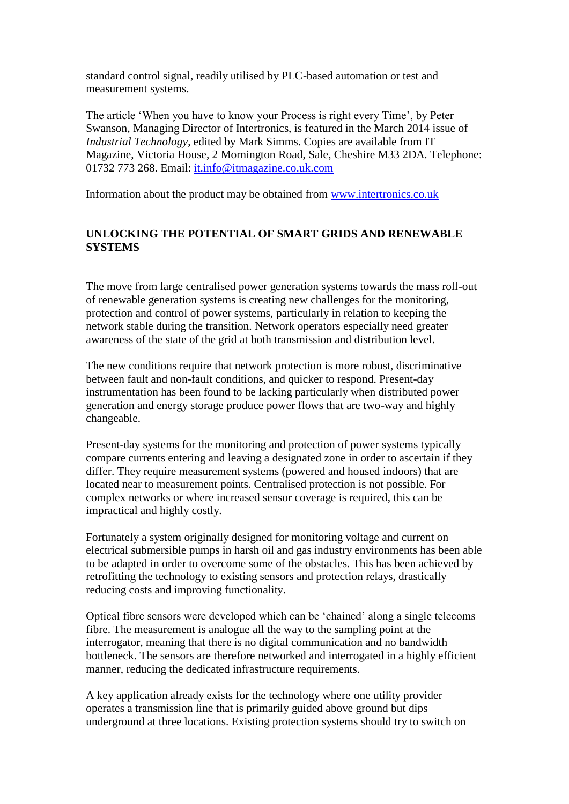standard control signal, readily utilised by PLC-based automation or test and measurement systems.

The article 'When you have to know your Process is right every Time', by Peter Swanson, Managing Director of Intertronics, is featured in the March 2014 issue of *Industrial Technology*, edited by Mark Simms. Copies are available from IT Magazine, Victoria House, 2 Mornington Road, Sale, Cheshire M33 2DA. Telephone: 01732 773 268. Email: [it.info@itmagazine.co.uk.com](mailto:it.info@itmagazine.co.uk.com)

Information about the product may be obtained from [www.intertronics.co.uk](http://www.intertronics.co.uk/)

## **UNLOCKING THE POTENTIAL OF SMART GRIDS AND RENEWABLE SYSTEMS**

The move from large centralised power generation systems towards the mass roll-out of renewable generation systems is creating new challenges for the monitoring, protection and control of power systems, particularly in relation to keeping the network stable during the transition. Network operators especially need greater awareness of the state of the grid at both transmission and distribution level.

The new conditions require that network protection is more robust, discriminative between fault and non-fault conditions, and quicker to respond. Present-day instrumentation has been found to be lacking particularly when distributed power generation and energy storage produce power flows that are two-way and highly changeable.

Present-day systems for the monitoring and protection of power systems typically compare currents entering and leaving a designated zone in order to ascertain if they differ. They require measurement systems (powered and housed indoors) that are located near to measurement points. Centralised protection is not possible. For complex networks or where increased sensor coverage is required, this can be impractical and highly costly.

Fortunately a system originally designed for monitoring voltage and current on electrical submersible pumps in harsh oil and gas industry environments has been able to be adapted in order to overcome some of the obstacles. This has been achieved by retrofitting the technology to existing sensors and protection relays, drastically reducing costs and improving functionality.

Optical fibre sensors were developed which can be 'chained' along a single telecoms fibre. The measurement is analogue all the way to the sampling point at the interrogator, meaning that there is no digital communication and no bandwidth bottleneck. The sensors are therefore networked and interrogated in a highly efficient manner, reducing the dedicated infrastructure requirements.

A key application already exists for the technology where one utility provider operates a transmission line that is primarily guided above ground but dips underground at three locations. Existing protection systems should try to switch on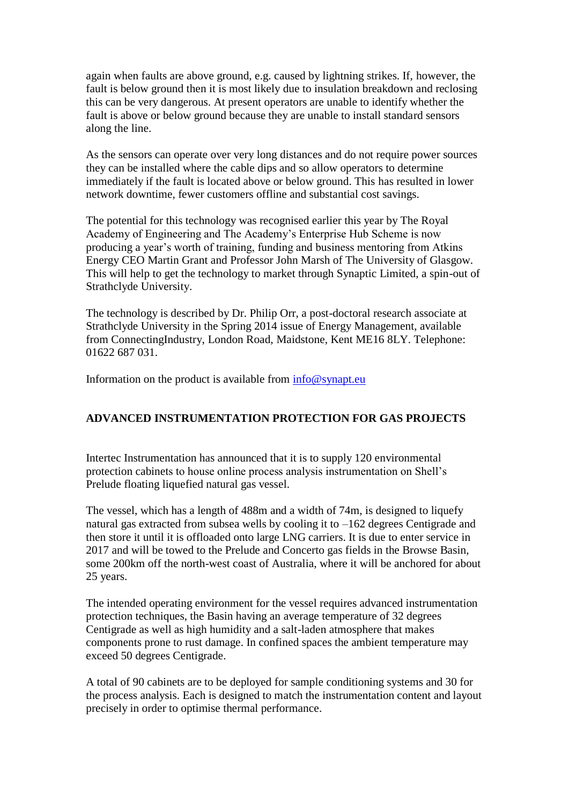again when faults are above ground, e.g. caused by lightning strikes. If, however, the fault is below ground then it is most likely due to insulation breakdown and reclosing this can be very dangerous. At present operators are unable to identify whether the fault is above or below ground because they are unable to install standard sensors along the line.

As the sensors can operate over very long distances and do not require power sources they can be installed where the cable dips and so allow operators to determine immediately if the fault is located above or below ground. This has resulted in lower network downtime, fewer customers offline and substantial cost savings.

The potential for this technology was recognised earlier this year by The Royal Academy of Engineering and The Academy's Enterprise Hub Scheme is now producing a year's worth of training, funding and business mentoring from Atkins Energy CEO Martin Grant and Professor John Marsh of The University of Glasgow. This will help to get the technology to market through Synaptic Limited, a spin-out of Strathclyde University.

The technology is described by Dr. Philip Orr, a post-doctoral research associate at Strathclyde University in the Spring 2014 issue of Energy Management, available from ConnectingIndustry, London Road, Maidstone, Kent ME16 8LY. Telephone: 01622 687 031.

Information on the product is available from  $\frac{info@synapt.eu}{}$ 

## **ADVANCED INSTRUMENTATION PROTECTION FOR GAS PROJECTS**

Intertec Instrumentation has announced that it is to supply 120 environmental protection cabinets to house online process analysis instrumentation on Shell's Prelude floating liquefied natural gas vessel.

The vessel, which has a length of 488m and a width of 74m, is designed to liquefy natural gas extracted from subsea wells by cooling it to –162 degrees Centigrade and then store it until it is offloaded onto large LNG carriers. It is due to enter service in 2017 and will be towed to the Prelude and Concerto gas fields in the Browse Basin, some 200km off the north-west coast of Australia, where it will be anchored for about 25 years.

The intended operating environment for the vessel requires advanced instrumentation protection techniques, the Basin having an average temperature of 32 degrees Centigrade as well as high humidity and a salt-laden atmosphere that makes components prone to rust damage. In confined spaces the ambient temperature may exceed 50 degrees Centigrade.

A total of 90 cabinets are to be deployed for sample conditioning systems and 30 for the process analysis. Each is designed to match the instrumentation content and layout precisely in order to optimise thermal performance.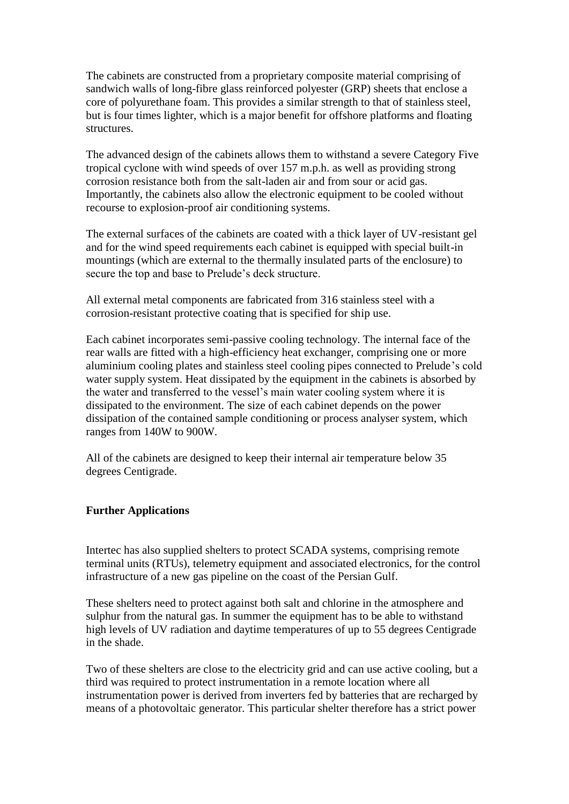The cabinets are constructed from a proprietary composite material comprising of sandwich walls of long-fibre glass reinforced polyester (GRP) sheets that enclose a core of polyurethane foam. This provides a similar strength to that of stainless steel, but is four times lighter, which is a major benefit for offshore platforms and floating structures.

The advanced design of the cabinets allows them to withstand a severe Category Five tropical cyclone with wind speeds of over 157 m.p.h. as well as providing strong corrosion resistance both from the salt-laden air and from sour or acid gas. Importantly, the cabinets also allow the electronic equipment to be cooled without recourse to explosion-proof air conditioning systems.

The external surfaces of the cabinets are coated with a thick layer of UV-resistant gel and for the wind speed requirements each cabinet is equipped with special built-in mountings (which are external to the thermally insulated parts of the enclosure) to secure the top and base to Prelude's deck structure.

All external metal components are fabricated from 316 stainless steel with a corrosion-resistant protective coating that is specified for ship use.

Each cabinet incorporates semi-passive cooling technology. The internal face of the rear walls are fitted with a high-efficiency heat exchanger, comprising one or more aluminium cooling plates and stainless steel cooling pipes connected to Prelude's cold water supply system. Heat dissipated by the equipment in the cabinets is absorbed by the water and transferred to the vessel's main water cooling system where it is dissipated to the environment. The size of each cabinet depends on the power dissipation of the contained sample conditioning or process analyser system, which ranges from 140W to 900W.

All of the cabinets are designed to keep their internal air temperature below 35 degrees Centigrade.

#### **Further Applications**

Intertec has also supplied shelters to protect SCADA systems, comprising remote terminal units (RTUs), telemetry equipment and associated electronics, for the control infrastructure of a new gas pipeline on the coast of the Persian Gulf.

These shelters need to protect against both salt and chlorine in the atmosphere and sulphur from the natural gas. In summer the equipment has to be able to withstand high levels of UV radiation and daytime temperatures of up to 55 degrees Centigrade in the shade.

Two of these shelters are close to the electricity grid and can use active cooling, but a third was required to protect instrumentation in a remote location where all instrumentation power is derived from inverters fed by batteries that are recharged by means of a photovoltaic generator. This particular shelter therefore has a strict power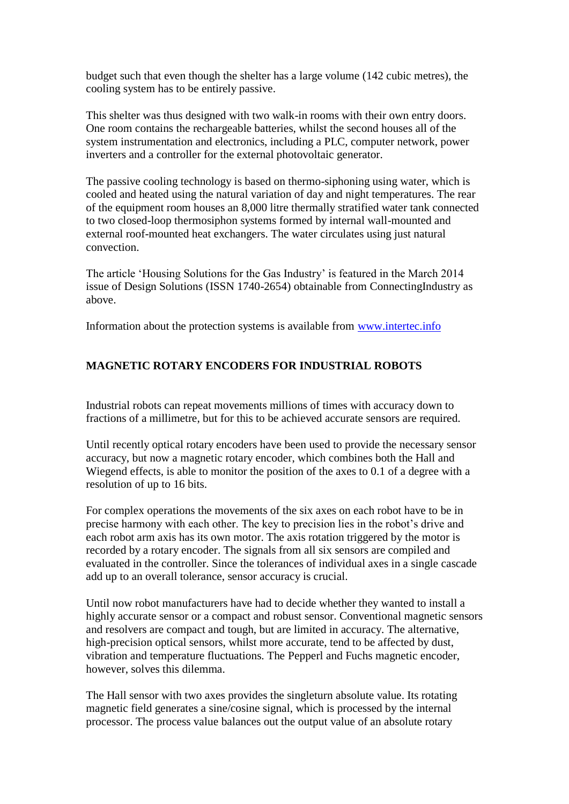budget such that even though the shelter has a large volume (142 cubic metres), the cooling system has to be entirely passive.

This shelter was thus designed with two walk-in rooms with their own entry doors. One room contains the rechargeable batteries, whilst the second houses all of the system instrumentation and electronics, including a PLC, computer network, power inverters and a controller for the external photovoltaic generator.

The passive cooling technology is based on thermo-siphoning using water, which is cooled and heated using the natural variation of day and night temperatures. The rear of the equipment room houses an 8,000 litre thermally stratified water tank connected to two closed-loop thermosiphon systems formed by internal wall-mounted and external roof-mounted heat exchangers. The water circulates using just natural convection.

The article 'Housing Solutions for the Gas Industry' is featured in the March 2014 issue of Design Solutions (ISSN 1740-2654) obtainable from ConnectingIndustry as above.

Information about the protection systems is available from [www.intertec.info](http://www.intertec.info/)

# **MAGNETIC ROTARY ENCODERS FOR INDUSTRIAL ROBOTS**

Industrial robots can repeat movements millions of times with accuracy down to fractions of a millimetre, but for this to be achieved accurate sensors are required.

Until recently optical rotary encoders have been used to provide the necessary sensor accuracy, but now a magnetic rotary encoder, which combines both the Hall and Wiegend effects, is able to monitor the position of the axes to 0.1 of a degree with a resolution of up to 16 bits.

For complex operations the movements of the six axes on each robot have to be in precise harmony with each other. The key to precision lies in the robot's drive and each robot arm axis has its own motor. The axis rotation triggered by the motor is recorded by a rotary encoder. The signals from all six sensors are compiled and evaluated in the controller. Since the tolerances of individual axes in a single cascade add up to an overall tolerance, sensor accuracy is crucial.

Until now robot manufacturers have had to decide whether they wanted to install a highly accurate sensor or a compact and robust sensor. Conventional magnetic sensors and resolvers are compact and tough, but are limited in accuracy. The alternative, high-precision optical sensors, whilst more accurate, tend to be affected by dust, vibration and temperature fluctuations. The Pepperl and Fuchs magnetic encoder, however, solves this dilemma.

The Hall sensor with two axes provides the singleturn absolute value. Its rotating magnetic field generates a sine/cosine signal, which is processed by the internal processor. The process value balances out the output value of an absolute rotary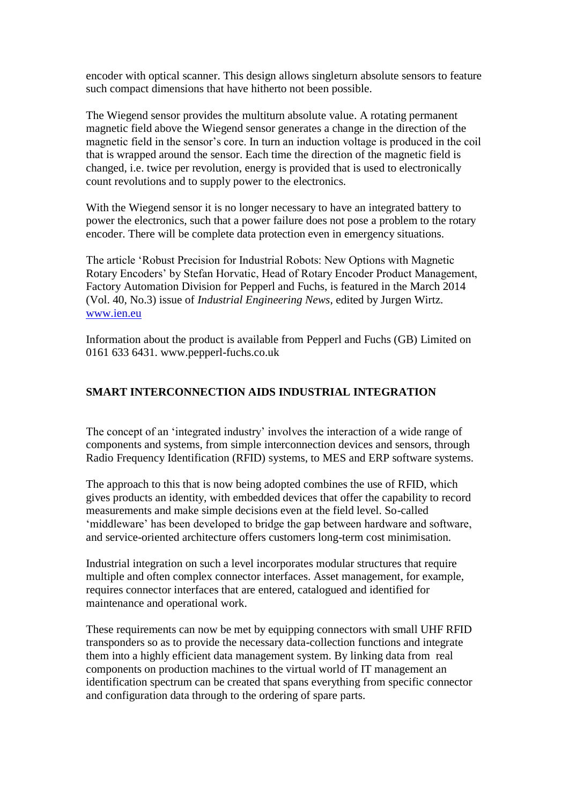encoder with optical scanner. This design allows singleturn absolute sensors to feature such compact dimensions that have hitherto not been possible.

The Wiegend sensor provides the multiturn absolute value. A rotating permanent magnetic field above the Wiegend sensor generates a change in the direction of the magnetic field in the sensor's core. In turn an induction voltage is produced in the coil that is wrapped around the sensor. Each time the direction of the magnetic field is changed, i.e. twice per revolution, energy is provided that is used to electronically count revolutions and to supply power to the electronics.

With the Wiegend sensor it is no longer necessary to have an integrated battery to power the electronics, such that a power failure does not pose a problem to the rotary encoder. There will be complete data protection even in emergency situations.

The article 'Robust Precision for Industrial Robots: New Options with Magnetic Rotary Encoders' by Stefan Horvatic, Head of Rotary Encoder Product Management, Factory Automation Division for Pepperl and Fuchs, is featured in the March 2014 (Vol. 40, No.3) issue of *Industrial Engineering News*, edited by Jurgen Wirtz. [www.ien.eu](http://www.ien.eu/)

Information about the product is available from Pepperl and Fuchs (GB) Limited on 0161 633 6431. www.pepperl-fuchs.co.uk

#### **SMART INTERCONNECTION AIDS INDUSTRIAL INTEGRATION**

The concept of an 'integrated industry' involves the interaction of a wide range of components and systems, from simple interconnection devices and sensors, through Radio Frequency Identification (RFID) systems, to MES and ERP software systems.

The approach to this that is now being adopted combines the use of RFID, which gives products an identity, with embedded devices that offer the capability to record measurements and make simple decisions even at the field level. So-called 'middleware' has been developed to bridge the gap between hardware and software, and service-oriented architecture offers customers long-term cost minimisation.

Industrial integration on such a level incorporates modular structures that require multiple and often complex connector interfaces. Asset management, for example, requires connector interfaces that are entered, catalogued and identified for maintenance and operational work.

These requirements can now be met by equipping connectors with small UHF RFID transponders so as to provide the necessary data-collection functions and integrate them into a highly efficient data management system. By linking data from real components on production machines to the virtual world of IT management an identification spectrum can be created that spans everything from specific connector and configuration data through to the ordering of spare parts.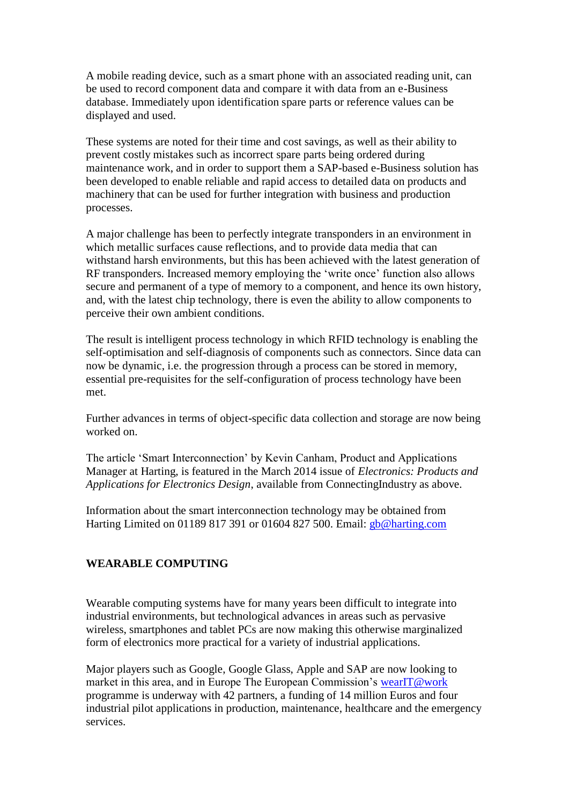A mobile reading device, such as a smart phone with an associated reading unit, can be used to record component data and compare it with data from an e-Business database. Immediately upon identification spare parts or reference values can be displayed and used.

These systems are noted for their time and cost savings, as well as their ability to prevent costly mistakes such as incorrect spare parts being ordered during maintenance work, and in order to support them a SAP-based e-Business solution has been developed to enable reliable and rapid access to detailed data on products and machinery that can be used for further integration with business and production processes.

A major challenge has been to perfectly integrate transponders in an environment in which metallic surfaces cause reflections, and to provide data media that can withstand harsh environments, but this has been achieved with the latest generation of RF transponders. Increased memory employing the 'write once' function also allows secure and permanent of a type of memory to a component, and hence its own history, and, with the latest chip technology, there is even the ability to allow components to perceive their own ambient conditions.

The result is intelligent process technology in which RFID technology is enabling the self-optimisation and self-diagnosis of components such as connectors. Since data can now be dynamic, i.e. the progression through a process can be stored in memory, essential pre-requisites for the self-configuration of process technology have been met.

Further advances in terms of object-specific data collection and storage are now being worked on.

The article 'Smart Interconnection' by Kevin Canham, Product and Applications Manager at Harting, is featured in the March 2014 issue of *Electronics: Products and Applications for Electronics Design*, available from ConnectingIndustry as above.

Information about the smart interconnection technology may be obtained from Harting Limited on 01189 817 391 or 01604 827 500. Email: [gb@harting.com](mailto:gb@harting.com)

## **WEARABLE COMPUTING**

Wearable computing systems have for many years been difficult to integrate into industrial environments, but technological advances in areas such as pervasive wireless, smartphones and tablet PCs are now making this otherwise marginalized form of electronics more practical for a variety of industrial applications.

Major players such as Google, Google Glass, Apple and SAP are now looking to market in this area, and in Europe The European Commission's [wearIT@work](mailto:wearIT@work) programme is underway with 42 partners, a funding of 14 million Euros and four industrial pilot applications in production, maintenance, healthcare and the emergency services.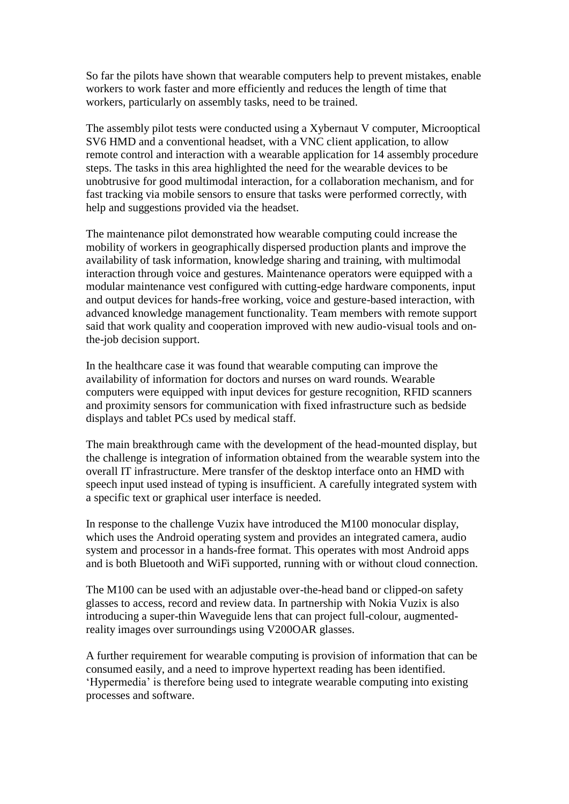So far the pilots have shown that wearable computers help to prevent mistakes, enable workers to work faster and more efficiently and reduces the length of time that workers, particularly on assembly tasks, need to be trained.

The assembly pilot tests were conducted using a Xybernaut V computer, Microoptical SV6 HMD and a conventional headset, with a VNC client application, to allow remote control and interaction with a wearable application for 14 assembly procedure steps. The tasks in this area highlighted the need for the wearable devices to be unobtrusive for good multimodal interaction, for a collaboration mechanism, and for fast tracking via mobile sensors to ensure that tasks were performed correctly, with help and suggestions provided via the headset.

The maintenance pilot demonstrated how wearable computing could increase the mobility of workers in geographically dispersed production plants and improve the availability of task information, knowledge sharing and training, with multimodal interaction through voice and gestures. Maintenance operators were equipped with a modular maintenance vest configured with cutting-edge hardware components, input and output devices for hands-free working, voice and gesture-based interaction, with advanced knowledge management functionality. Team members with remote support said that work quality and cooperation improved with new audio-visual tools and onthe-job decision support.

In the healthcare case it was found that wearable computing can improve the availability of information for doctors and nurses on ward rounds. Wearable computers were equipped with input devices for gesture recognition, RFID scanners and proximity sensors for communication with fixed infrastructure such as bedside displays and tablet PCs used by medical staff.

The main breakthrough came with the development of the head-mounted display, but the challenge is integration of information obtained from the wearable system into the overall IT infrastructure. Mere transfer of the desktop interface onto an HMD with speech input used instead of typing is insufficient. A carefully integrated system with a specific text or graphical user interface is needed.

In response to the challenge Vuzix have introduced the M100 monocular display, which uses the Android operating system and provides an integrated camera, audio system and processor in a hands-free format. This operates with most Android apps and is both Bluetooth and WiFi supported, running with or without cloud connection.

The M100 can be used with an adjustable over-the-head band or clipped-on safety glasses to access, record and review data. In partnership with Nokia Vuzix is also introducing a super-thin Waveguide lens that can project full-colour, augmentedreality images over surroundings using V200OAR glasses.

A further requirement for wearable computing is provision of information that can be consumed easily, and a need to improve hypertext reading has been identified. 'Hypermedia' is therefore being used to integrate wearable computing into existing processes and software.